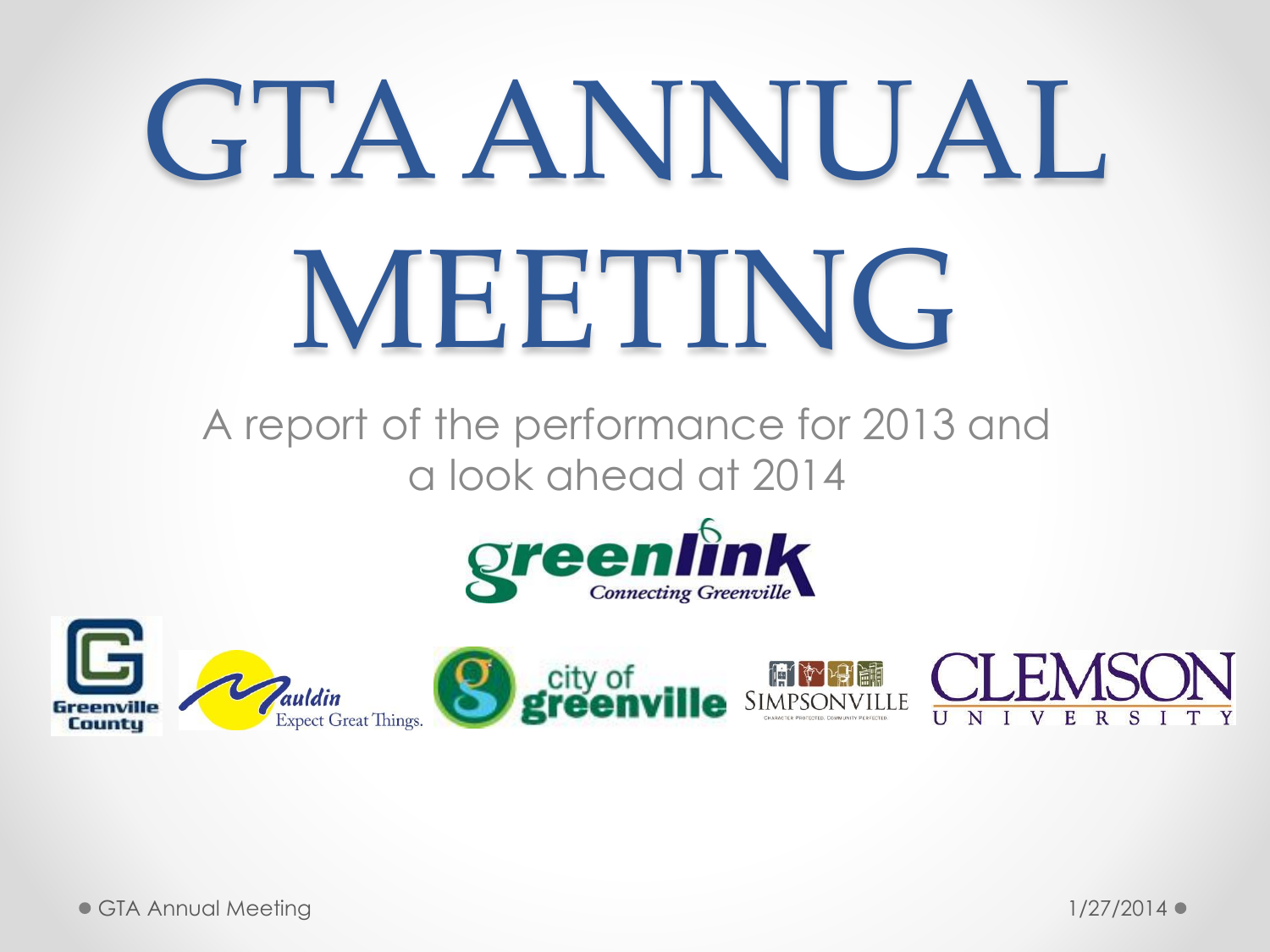# GTA ANNUAL MEETING

A report of the performance for 2013 and a look ahead at 2014



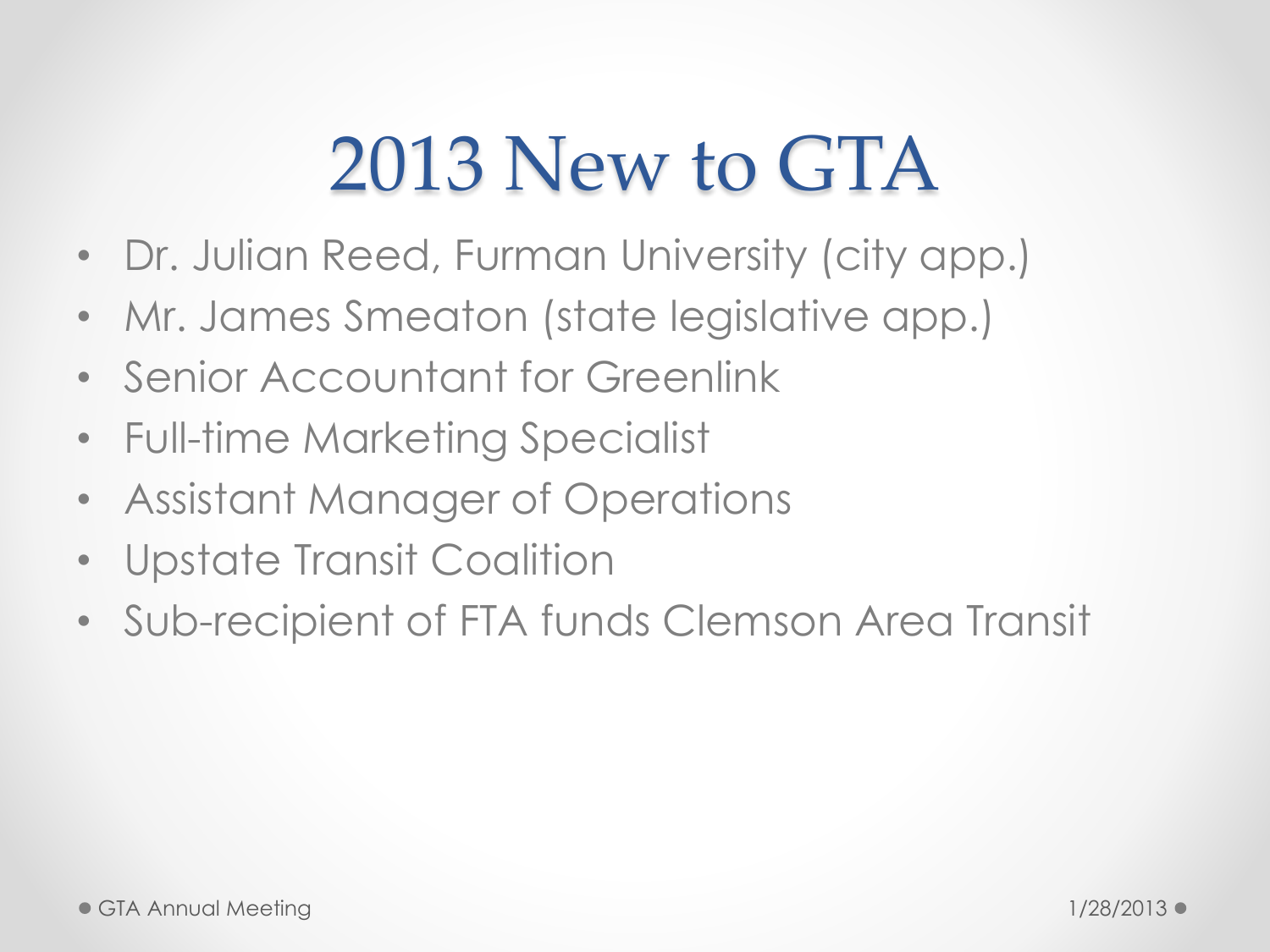#### 2013 New to GTA

- Dr. Julian Reed, Furman University (city app.)
- Mr. James Smeaton (state legislative app.)
- Senior Accountant for Greenlink
- Full-time Marketing Specialist
- Assistant Manager of Operations
- Upstate Transit Coalition
- Sub-recipient of FTA funds Clemson Area Transit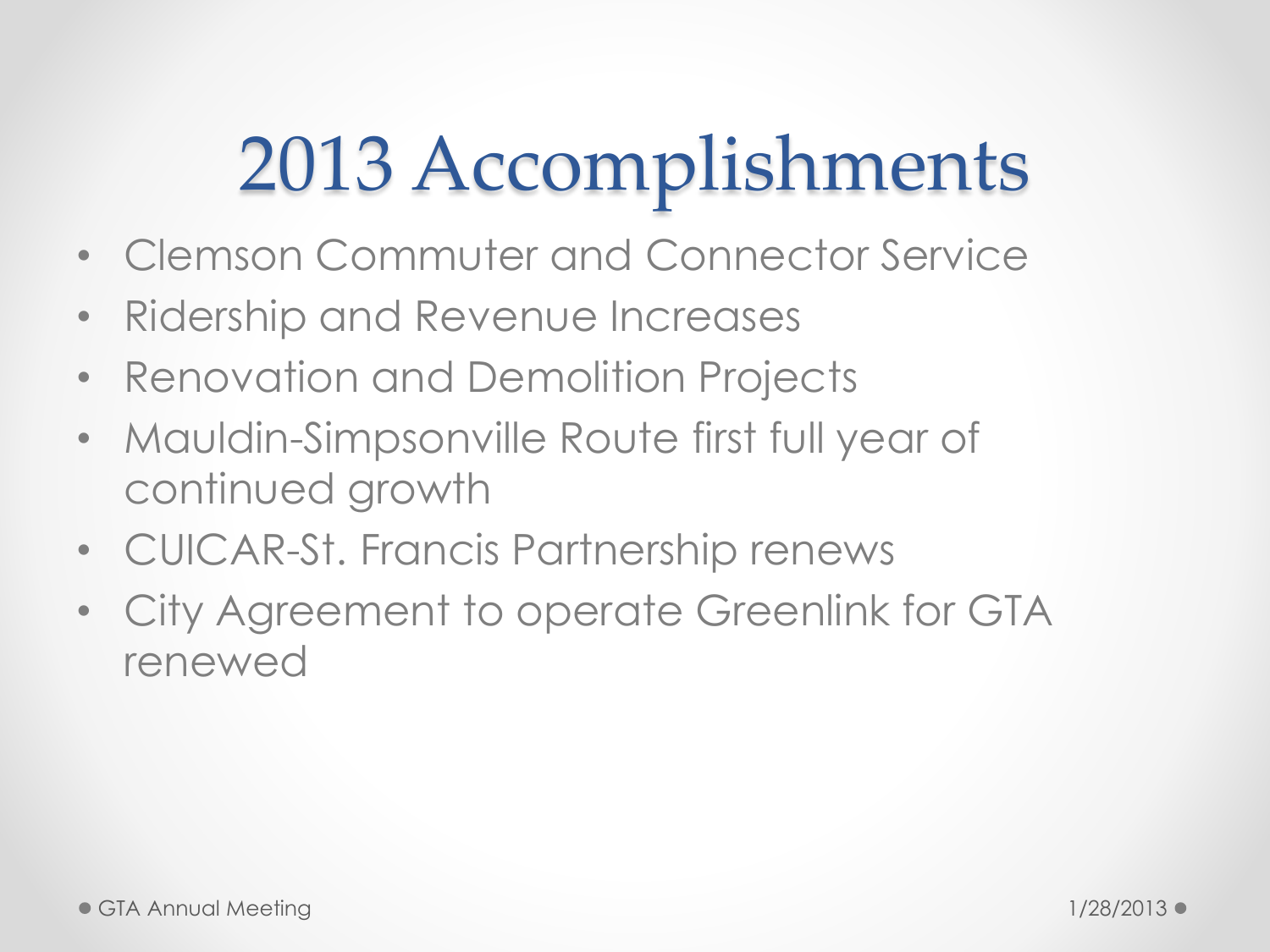### 2013 Accomplishments

- Clemson Commuter and Connector Service
- Ridership and Revenue Increases
- Renovation and Demolition Projects
- Mauldin-Simpsonville Route first full year of continued growth
- CUICAR-St. Francis Partnership renews
- City Agreement to operate Greenlink for GTA renewed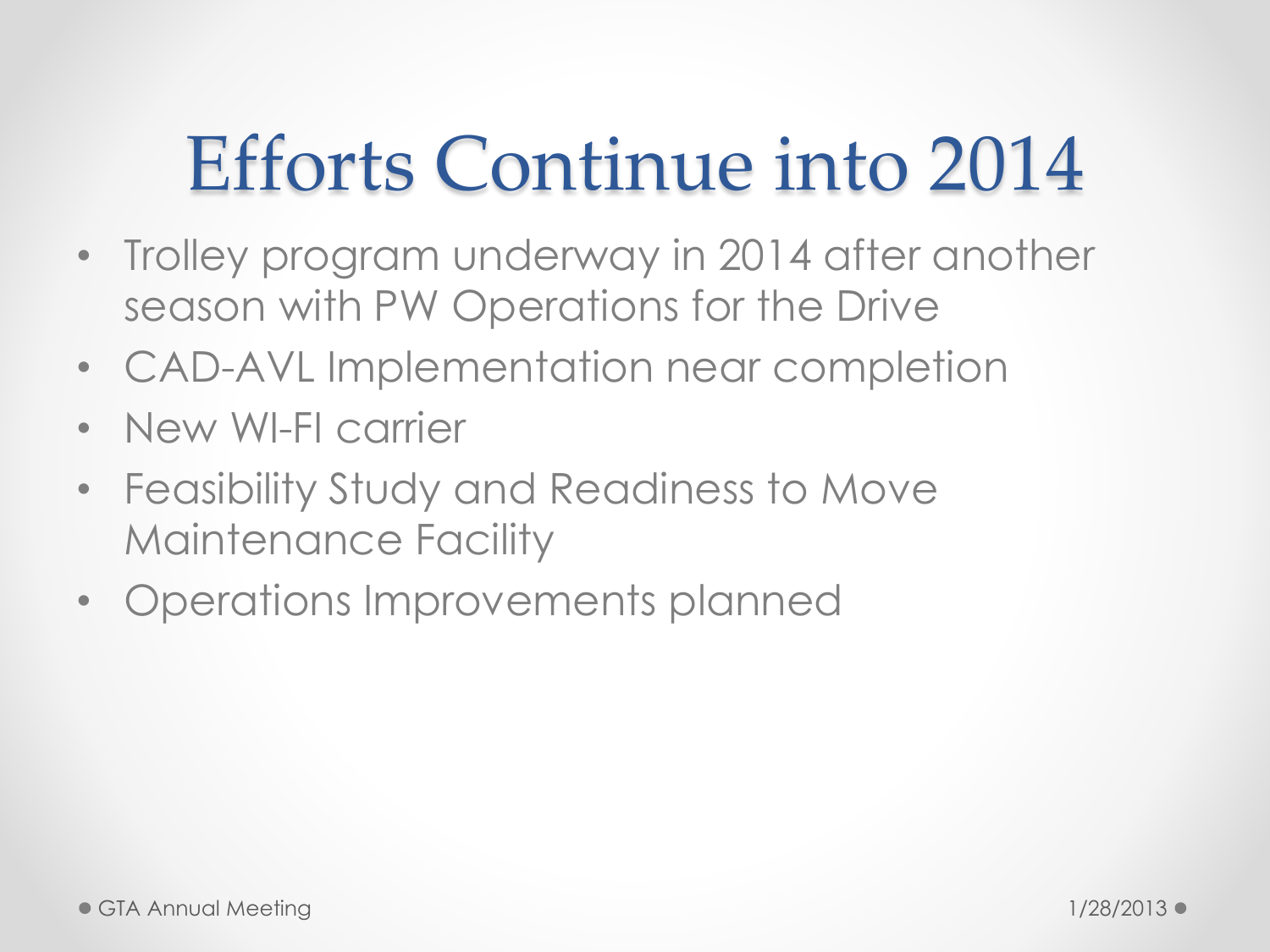#### Efforts Continue into 2014

- Trolley program underway in 2014 after another season with PW Operations for the Drive
- CAD-AVL Implementation near completion
- New WI-FI carrier
- Feasibility Study and Readiness to Move Maintenance Facility
- Operations Improvements planned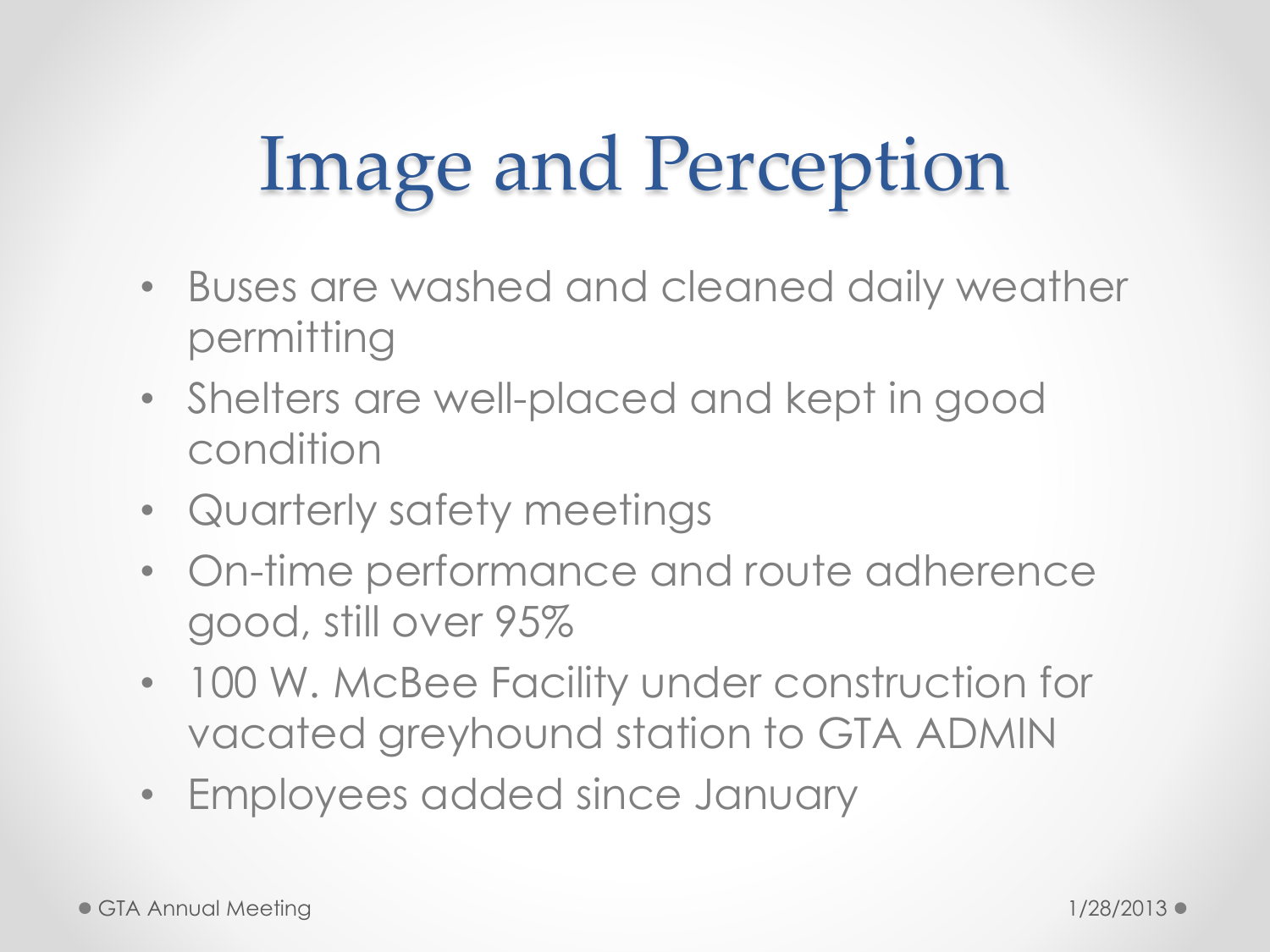#### Image and Perception

- Buses are washed and cleaned daily weather permitting
- Shelters are well-placed and kept in good condition
- Quarterly safety meetings
- On-time performance and route adherence good, still over 95%
- 100 W. McBee Facility under construction for vacated greyhound station to GTA ADMIN
- Employees added since January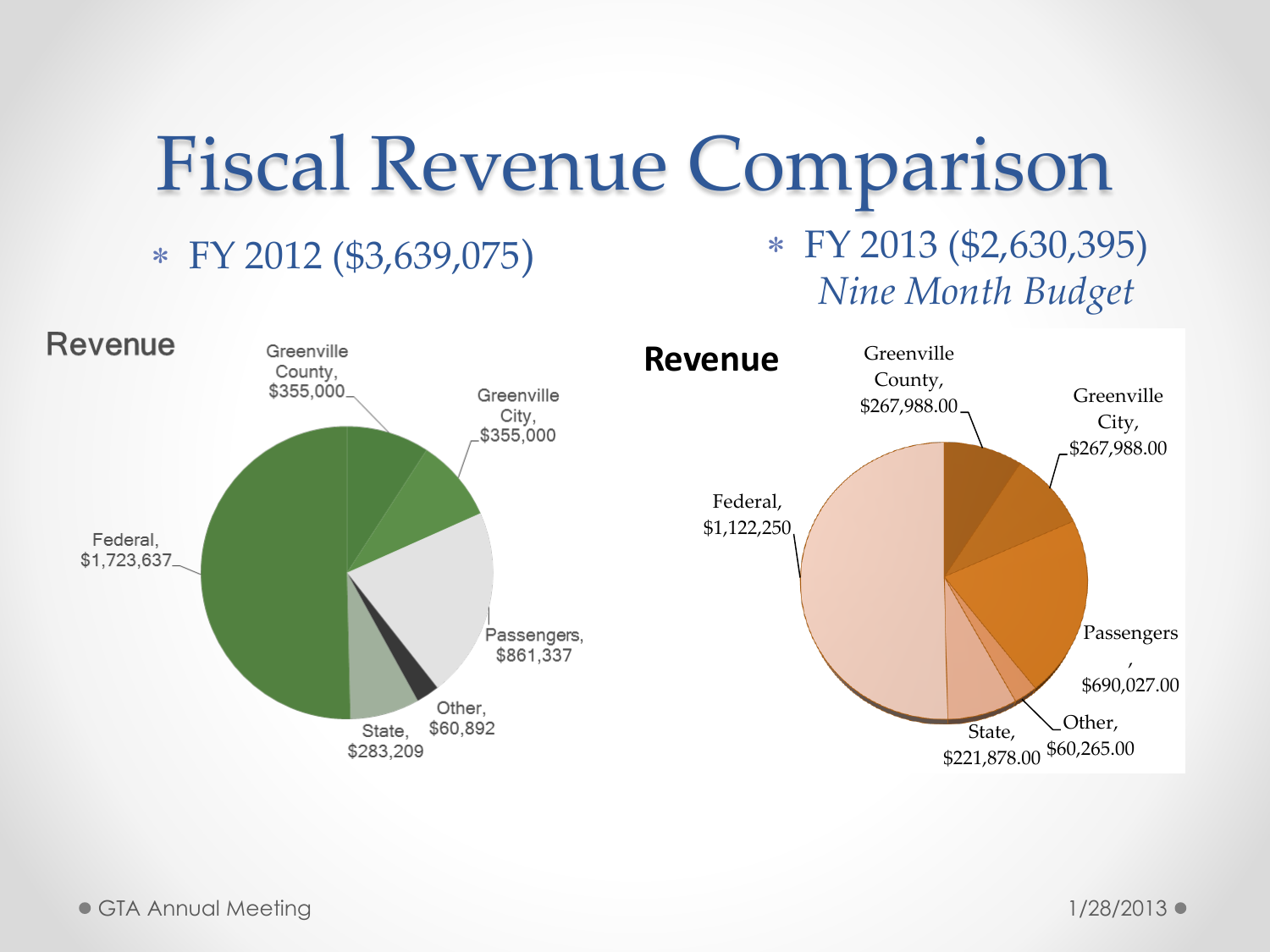### Fiscal Revenue Comparison

#### FY 2012 (\$3,639,075)

#### FY 2013 (\$2,630,395) *Nine Month Budget*

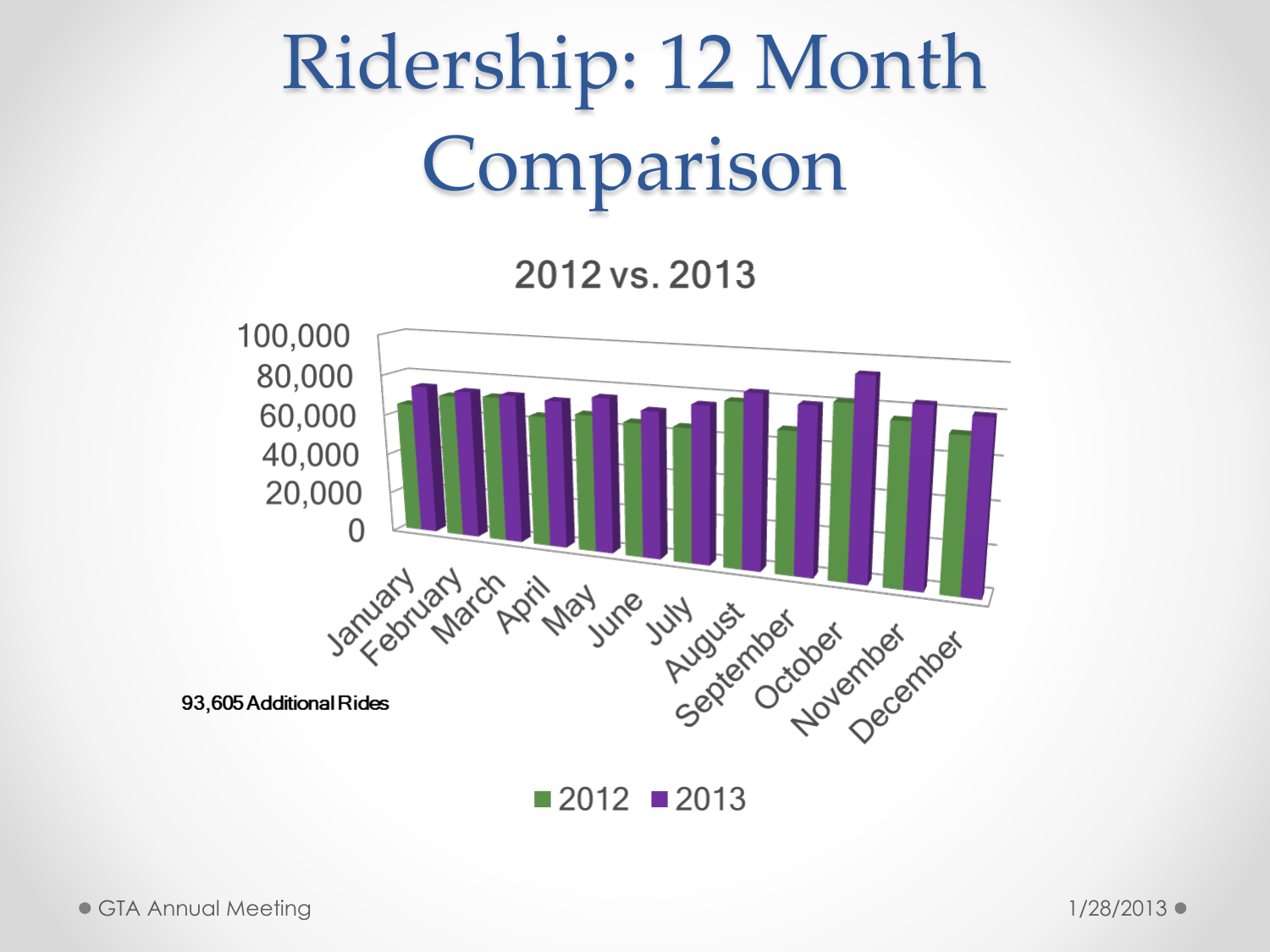#### Ridership: 12 Month Comparison

2012 vs. 2013



 $\blacksquare$  2012  $\blacksquare$  2013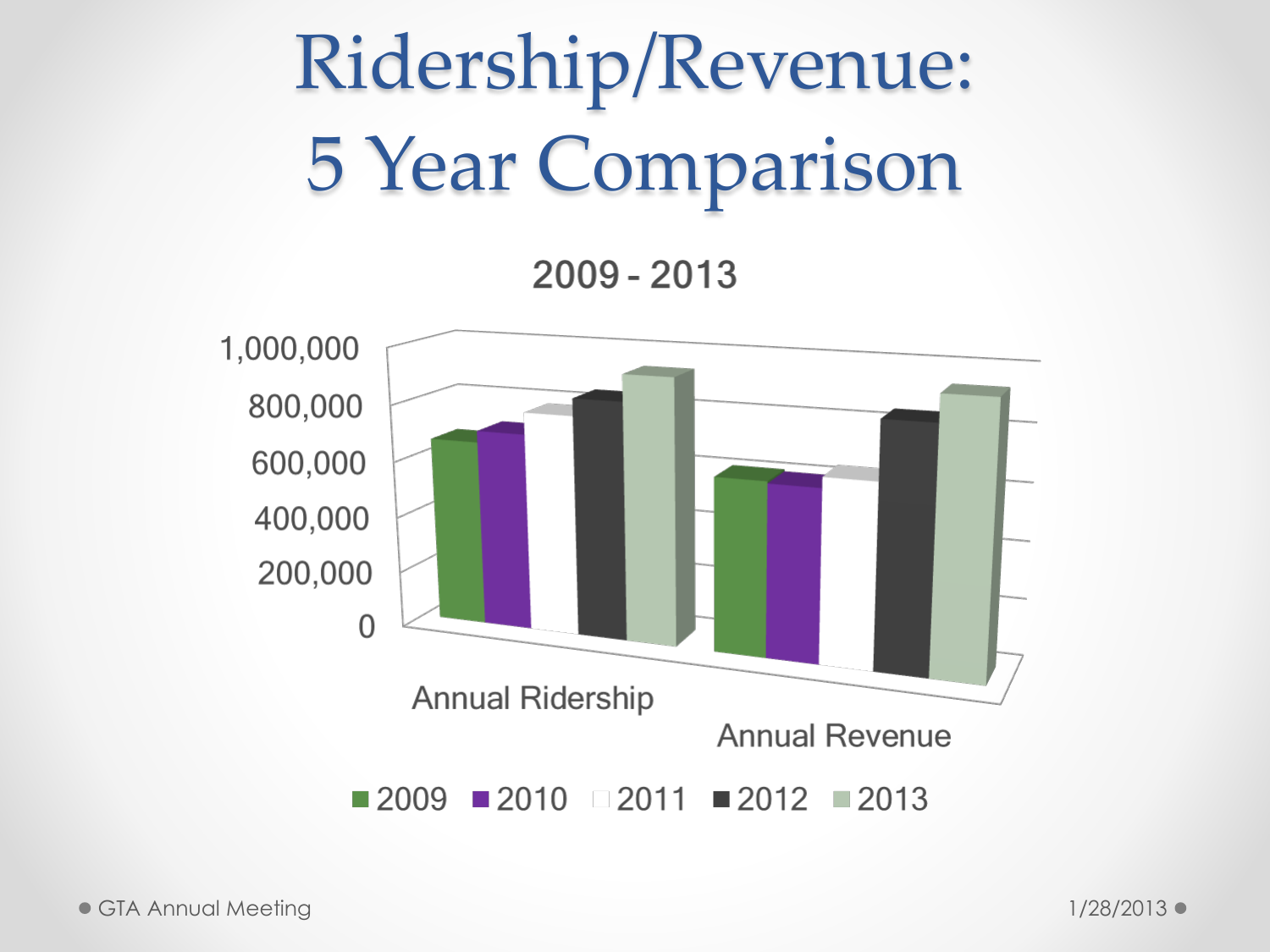#### Ridership/Revenue: 5 Year Comparison

 $2009 - 2013$ 

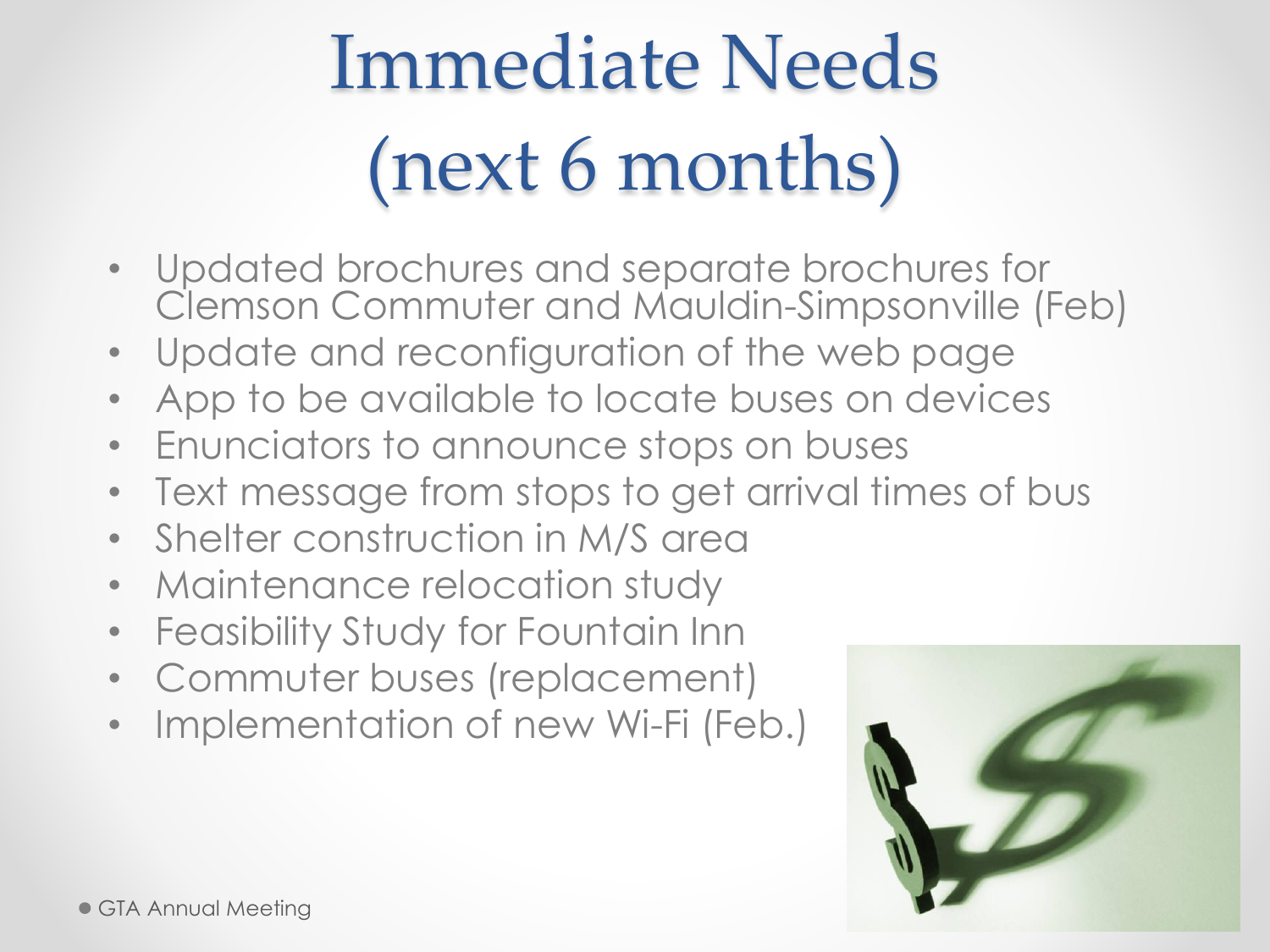#### Immediate Needs (next 6 months)

- Updated brochures and separate brochures for Clemson Commuter and Mauldin-Simpsonville (Feb)
- Update and reconfiguration of the web page
- App to be available to locate buses on devices
- Enunciators to announce stops on buses
- Text message from stops to get arrival times of bus
- Shelter construction in M/S area
- Maintenance relocation study
- Feasibility Study for Fountain Inn
- Commuter buses (replacement)
- Implementation of new Wi-Fi (Feb.)

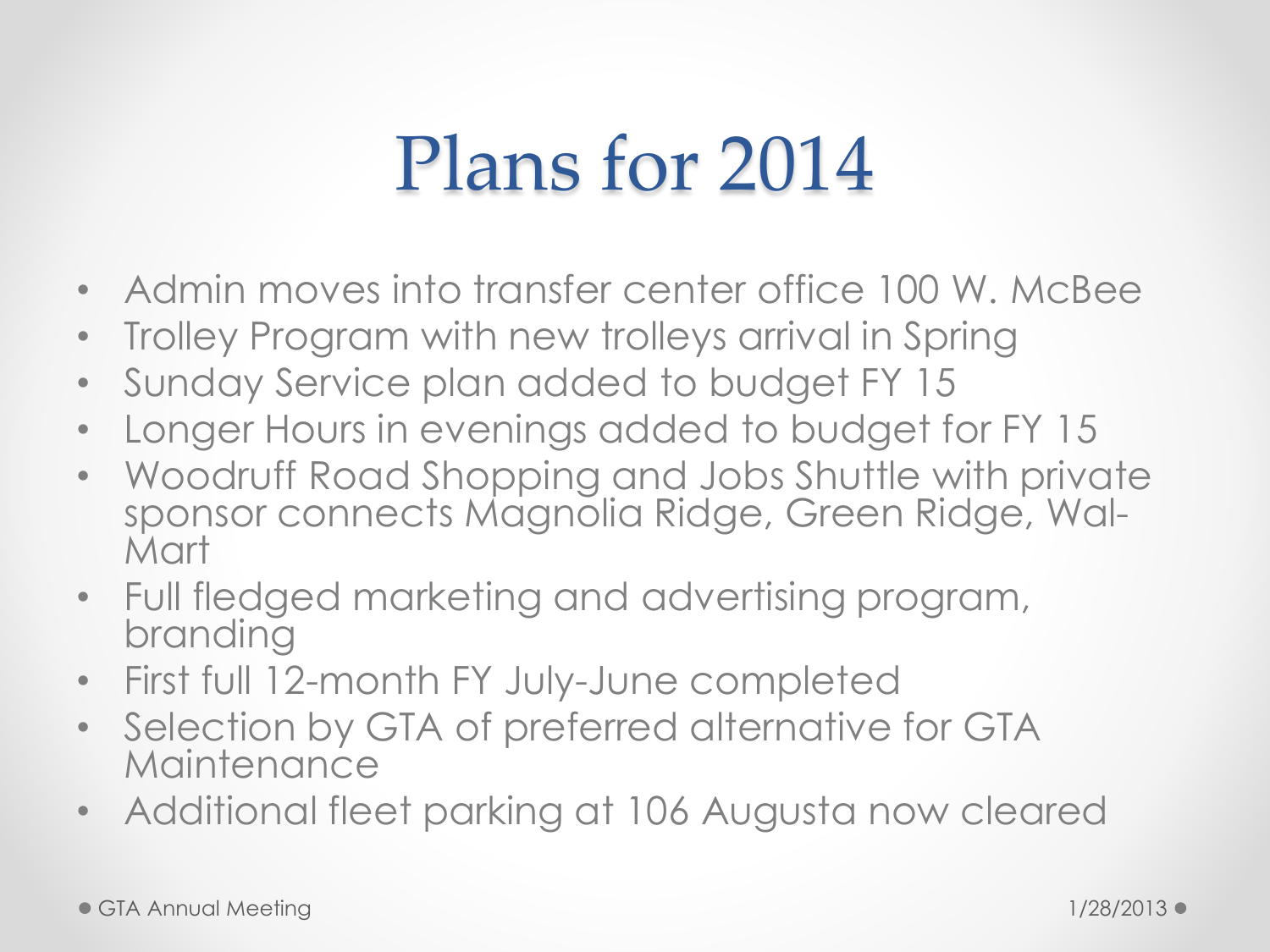#### Plans for 2014

- Admin moves into transfer center office 100 W. McBee
- Trolley Program with new trolleys arrival in Spring
- Sunday Service plan added to budget FY 15
- Longer Hours in evenings added to budget for FY 15
- Woodruff Road Shopping and Jobs Shuttle with private sponsor connects Magnolia Ridge, Green Ridge, Wal-Mart
- Full fledged marketing and advertising program, branding
- First full 12-month FY July-June completed
- Selection by GTA of preferred alternative for GTA **Maintenance**
- Additional fleet parking at 106 Augusta now cleared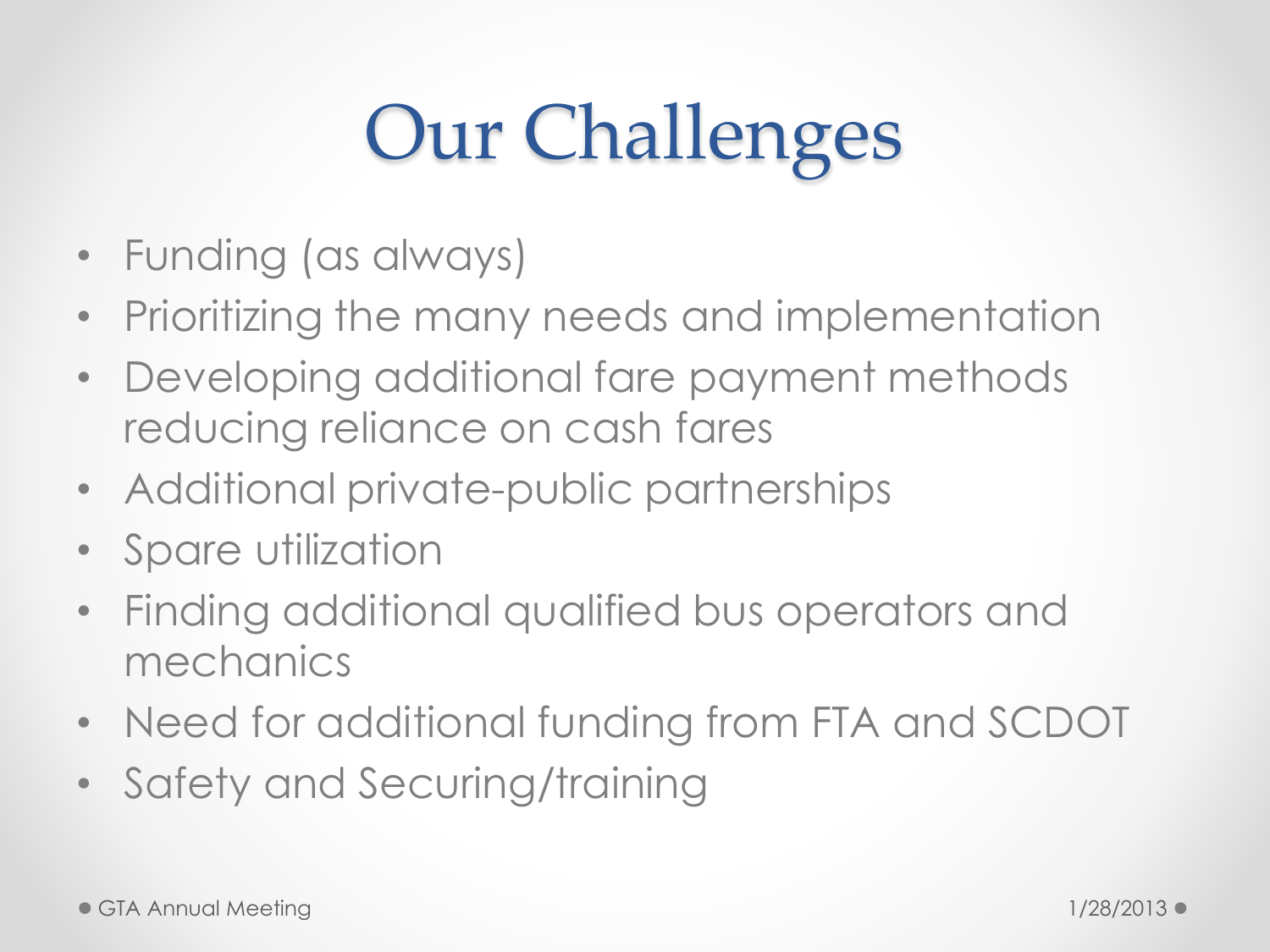### Our Challenges

- Funding (as always)
- Prioritizing the many needs and implementation
- Developing additional fare payment methods reducing reliance on cash fares
- Additional private-public partnerships
- Spare utilization
- Finding additional qualified bus operators and mechanics
- Need for additional funding from FTA and SCDOT
- Safety and Securing/training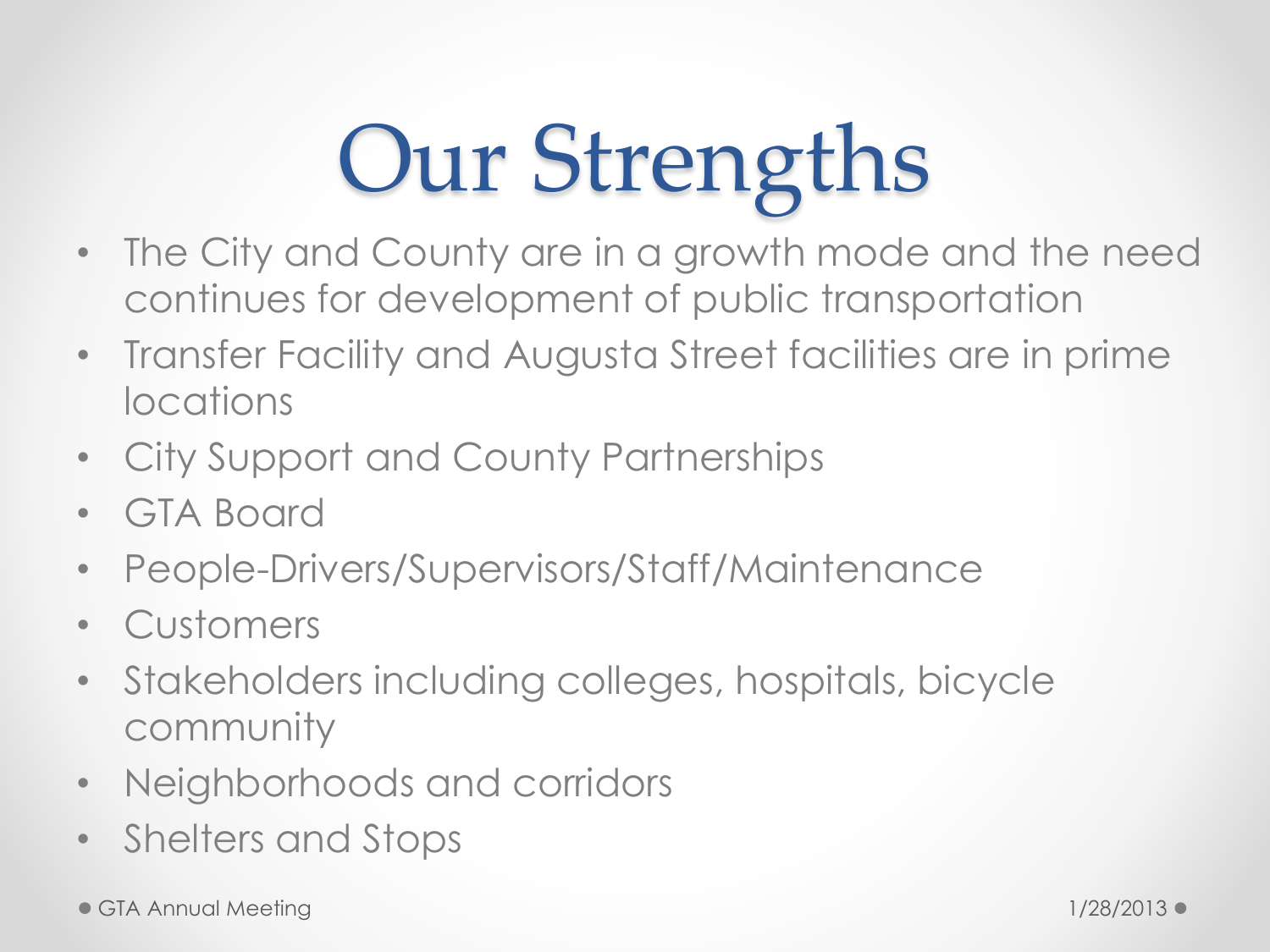## Our Strengths

- The City and County are in a growth mode and the need continues for development of public transportation
- Transfer Facility and Augusta Street facilities are in prime locations
- City Support and County Partnerships
- GTA Board
- People-Drivers/Supervisors/Staff/Maintenance
- Customers
- Stakeholders including colleges, hospitals, bicycle community
- Neighborhoods and corridors
- Shelters and Stops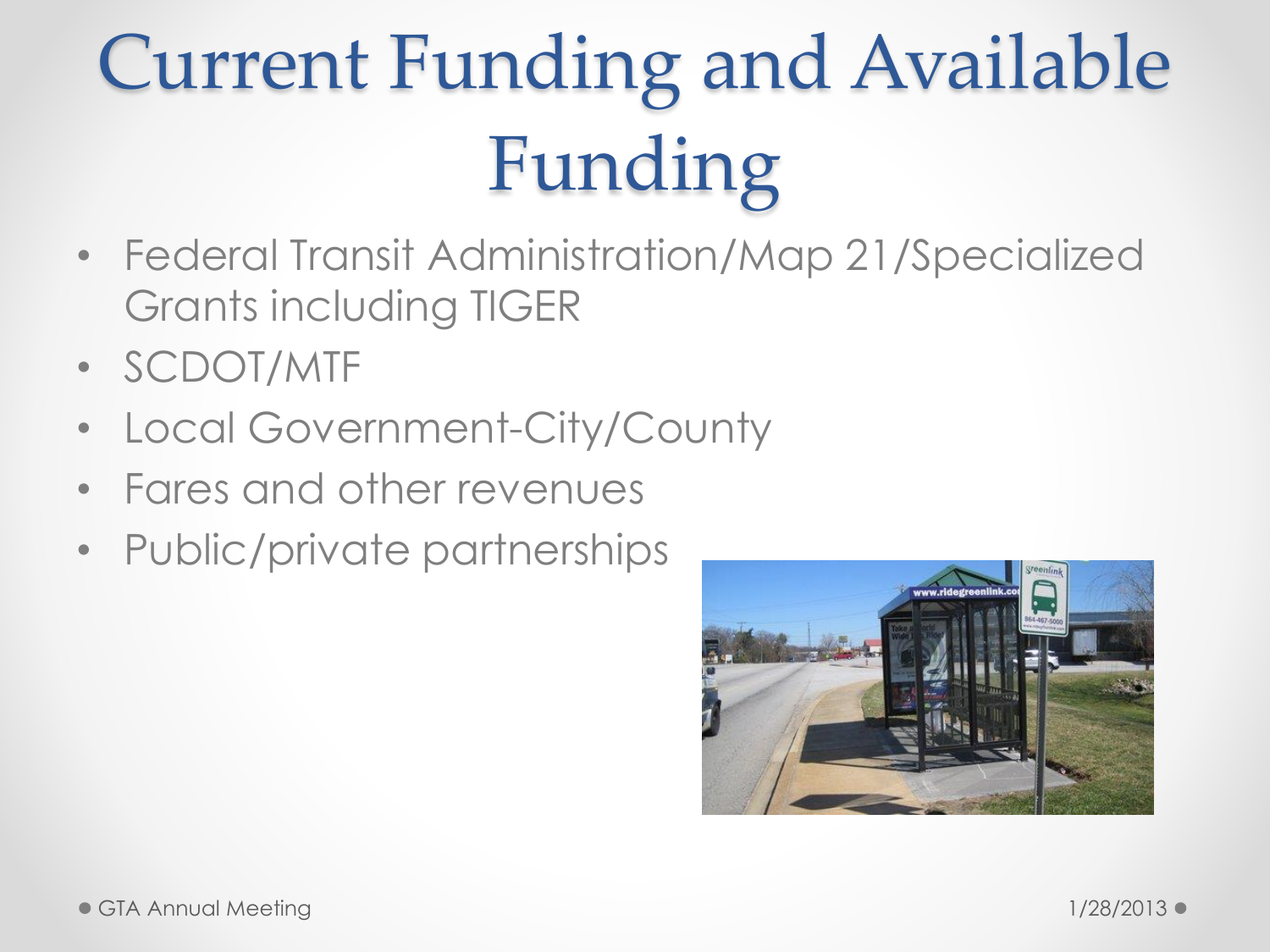### Current Funding and Available Funding

- Federal Transit Administration/Map 21/Specialized Grants including TIGER
- SCDOT/MTF
- Local Government-City/County
- Fares and other revenues
- Public/private partnerships

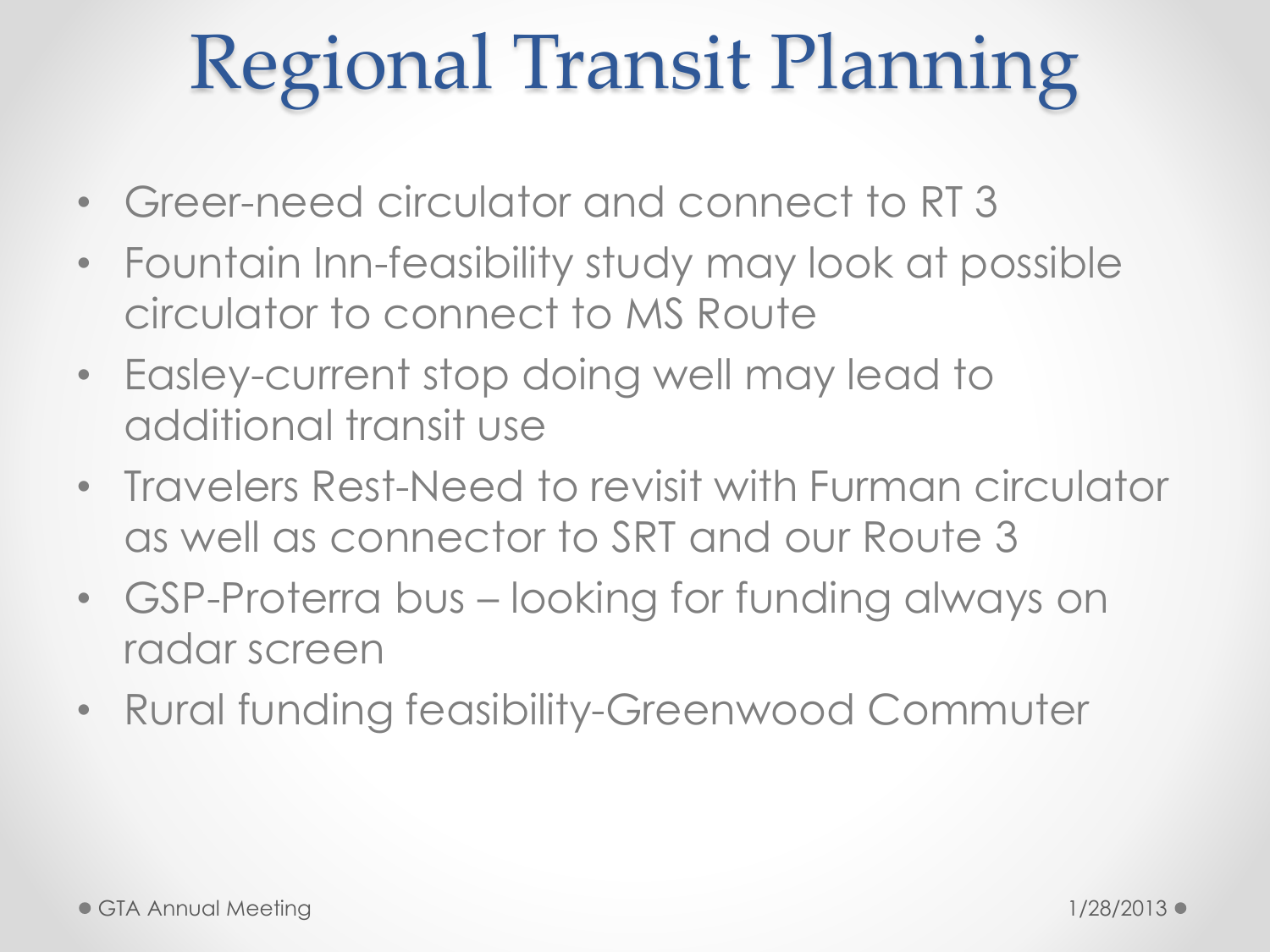#### Regional Transit Planning

- Greer-need circulator and connect to RT 3
- Fountain Inn-feasibility study may look at possible circulator to connect to MS Route
- Easley-current stop doing well may lead to additional transit use
- Travelers Rest-Need to revisit with Furman circulator as well as connector to SRT and our Route 3
- GSP-Proterra bus looking for funding always on radar screen
- Rural funding feasibility-Greenwood Commuter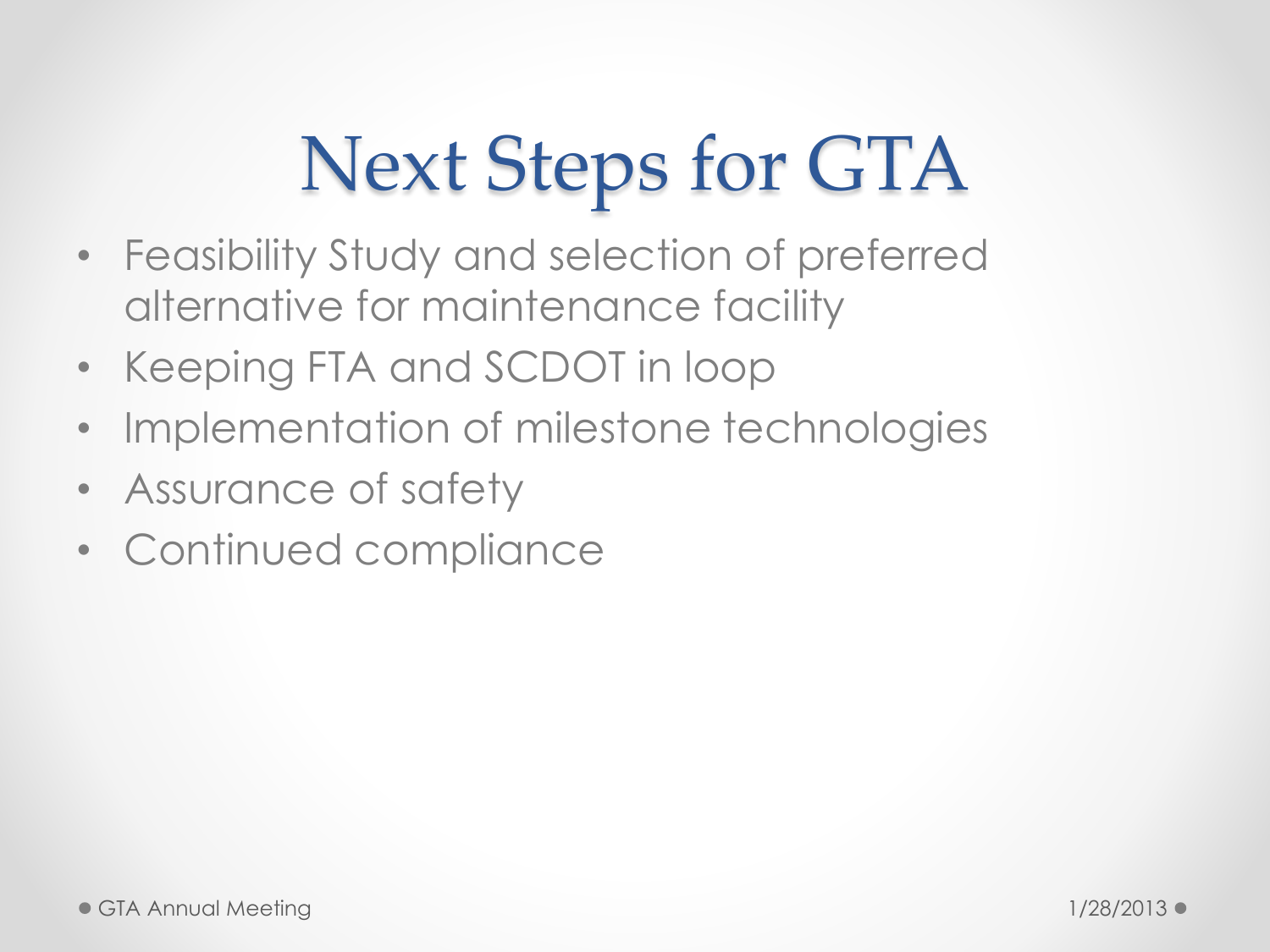#### Next Steps for GTA

- Feasibility Study and selection of preferred alternative for maintenance facility
- Keeping FTA and SCDOT in loop
- Implementation of milestone technologies
- Assurance of safety
- Continued compliance